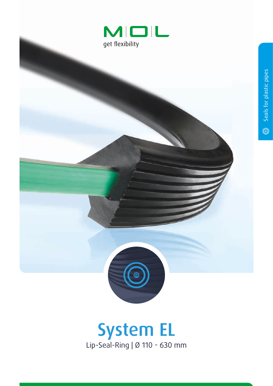



## System EL Lip-Seal-Ring | Ø 110 - 630 mm